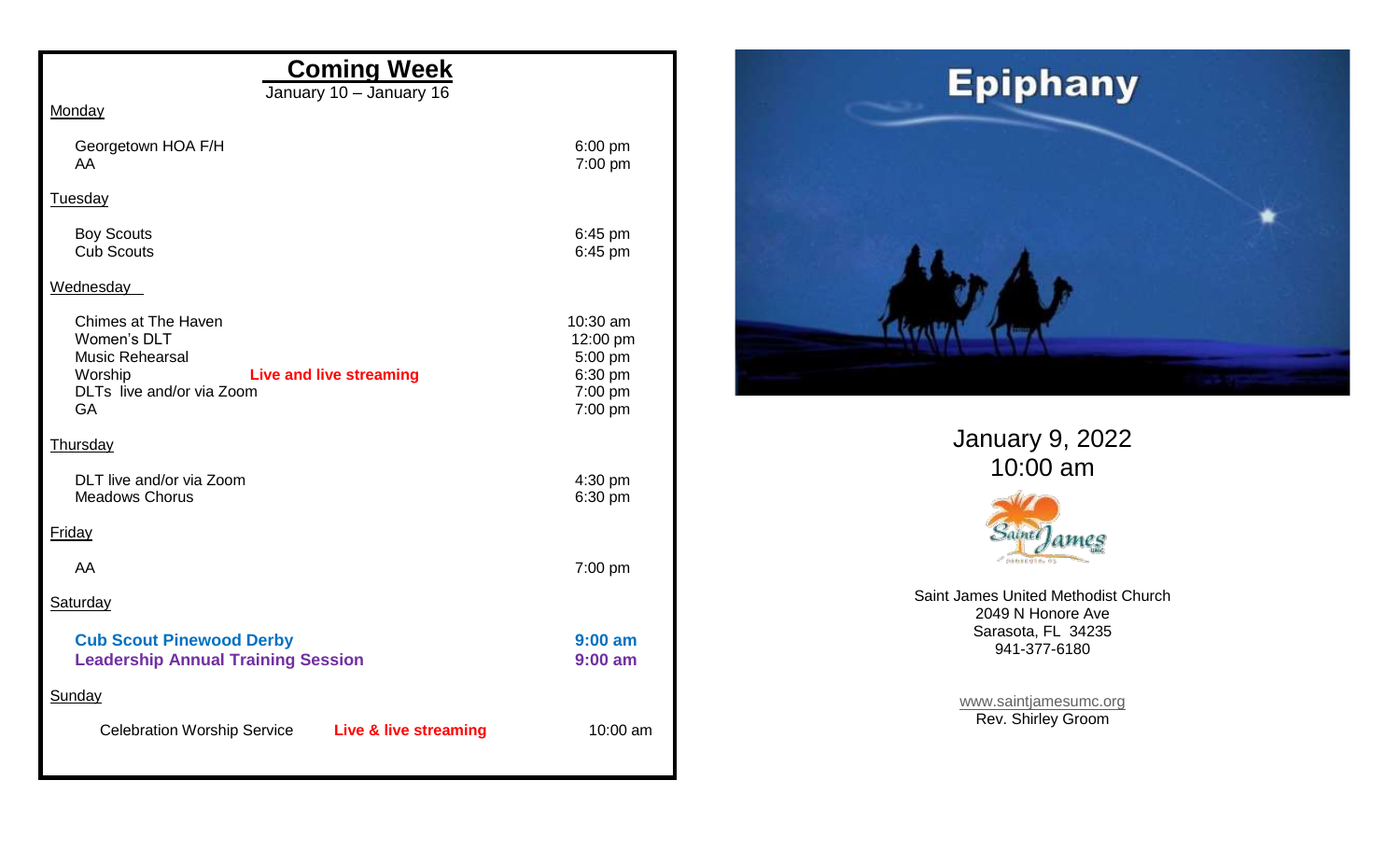| <b>Coming Week</b>                                                                                                                                         |                                                                  |
|------------------------------------------------------------------------------------------------------------------------------------------------------------|------------------------------------------------------------------|
| January 10 - January 16                                                                                                                                    |                                                                  |
| Monday                                                                                                                                                     |                                                                  |
| Georgetown HOA F/H<br>AA                                                                                                                                   | $6:00$ pm<br>7:00 pm                                             |
| <b>Tuesday</b>                                                                                                                                             |                                                                  |
| <b>Boy Scouts</b><br><b>Cub Scouts</b>                                                                                                                     | 6:45 pm<br>6:45 pm                                               |
| Wednesday                                                                                                                                                  |                                                                  |
| <b>Chimes at The Haven</b><br>Women's DLT<br><b>Music Rehearsal</b><br>Worship<br><b>Live and live streaming</b><br>DLTs live and/or via Zoom<br><b>GA</b> | 10:30 am<br>12:00 pm<br>5:00 pm<br>6:30 pm<br>7:00 pm<br>7:00 pm |
| Thursday                                                                                                                                                   |                                                                  |
| DLT live and/or via Zoom<br><b>Meadows Chorus</b>                                                                                                          | 4:30 pm<br>6:30 pm                                               |
| <b>Friday</b>                                                                                                                                              |                                                                  |
| AA                                                                                                                                                         | 7:00 pm                                                          |
| Saturday                                                                                                                                                   |                                                                  |
| <b>Cub Scout Pinewood Derby</b><br><b>Leadership Annual Training Session</b>                                                                               | $9:00$ am<br>$9:00$ am                                           |
| Sunday                                                                                                                                                     |                                                                  |
| <b>Celebration Worship Service</b><br><b>Live &amp; live streaming</b>                                                                                     | 10:00 am                                                         |



January 9, 2022 10:00 am



Saint James United Methodist Church 2049 N Honore Ave Sarasota, FL 34235 941-377-6180

> [www.saintjamesumc.org](http://www.saintjamesumc.org/) Rev. Shirley Groom